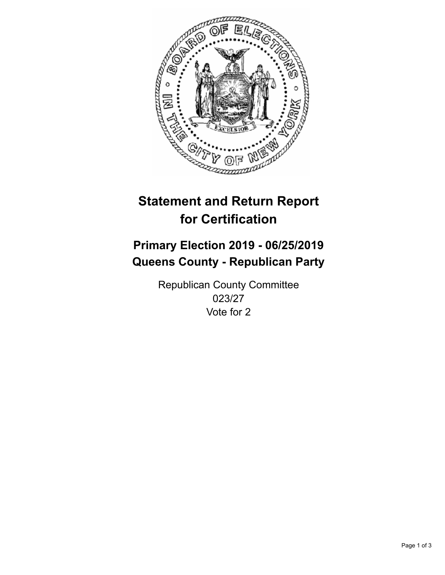

## **Statement and Return Report for Certification**

## **Primary Election 2019 - 06/25/2019 Queens County - Republican Party**

Republican County Committee 023/27 Vote for 2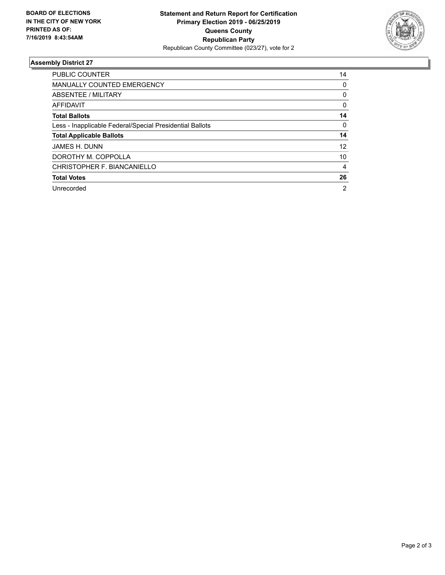

## **Assembly District 27**

| <b>PUBLIC COUNTER</b>                                    | 14             |
|----------------------------------------------------------|----------------|
| <b>MANUALLY COUNTED EMERGENCY</b>                        | 0              |
| ABSENTEE / MILITARY                                      | 0              |
| AFFIDAVIT                                                | 0              |
| <b>Total Ballots</b>                                     | 14             |
| Less - Inapplicable Federal/Special Presidential Ballots | 0              |
| <b>Total Applicable Ballots</b>                          | 14             |
| JAMES H. DUNN                                            | 12             |
| DOROTHY M. COPPOLLA                                      | 10             |
| CHRISTOPHER F. BIANCANIELLO                              | 4              |
| <b>Total Votes</b>                                       | 26             |
| Unrecorded                                               | $\overline{2}$ |